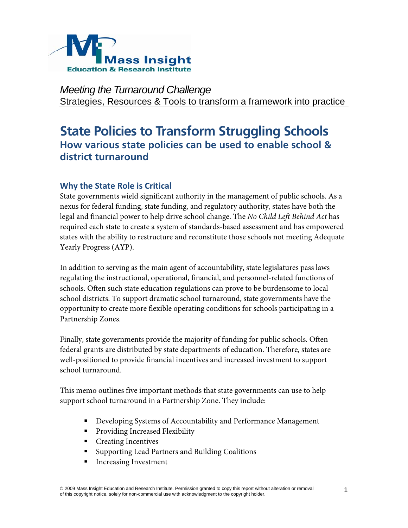

*Meeting the Turnaround Challenge*  Strategies, Resources & Tools to transform a framework into practice

# **State Policies to Transform Struggling Schools How various state policies can be used to enable school & district turnaround**

# **Why the State Role is Critical**

State governments wield significant authority in the management of public schools. As a nexus for federal funding, state funding, and regulatory authority, states have both the legal and financial power to help drive school change. The *No Child Left Behind Act* has required each state to create a system of standards-based assessment and has empowered states with the ability to restructure and reconstitute those schools not meeting Adequate Yearly Progress (AYP).

In addition to serving as the main agent of accountability, state legislatures pass laws regulating the instructional, operational, financial, and personnel-related functions of schools. Often such state education regulations can prove to be burdensome to local school districts. To support dramatic school turnaround, state governments have the opportunity to create more flexible operating conditions for schools participating in a Partnership Zones.

Finally, state governments provide the majority of funding for public schools. Often federal grants are distributed by state departments of education. Therefore, states are well-positioned to provide financial incentives and increased investment to support school turnaround.

This memo outlines five important methods that state governments can use to help support school turnaround in a Partnership Zone. They include:

- Developing Systems of Accountability and Performance Management
- Providing Increased Flexibility
- Creating Incentives
- Supporting Lead Partners and Building Coalitions
- **Increasing Investment**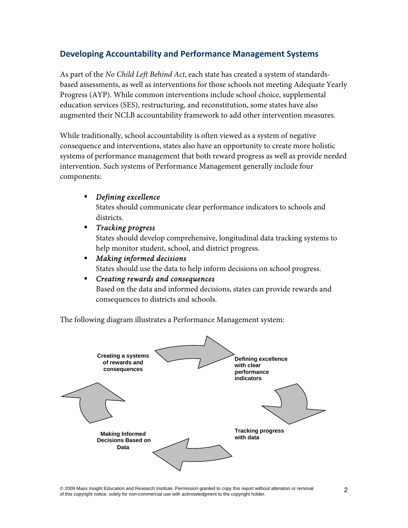# **Developing Accountability and Performance Management Systems**

As part of the *No Child Left Behind Act*, each state has created a system of standardsbased assessments, as well as interventions for those schools not meeting Adequate Yearly Progress (AYP). While common interventions include school choice, supplemental education services (SES), restructuring, and reconstitution, some states have also augmented their NCLB accountability framework to add other intervention measures.

While traditionally, school accountability is often viewed as a system of negative consequence and interventions, states also have an opportunity to create more holistic systems of performance management that both reward progress as well as provide needed intervention. Such systems of Performance Management generally include four components:

# *Defining excellence*

States should communicate clear performance indicators to schools and districts.

- *Tracking progress*  States should develop comprehensive, longitudinal data tracking systems to help monitor student, school, and district progress.
- *Making informed decisions*  States should use the data to help inform decisions on school progress.

# *Creating rewards and consequences*  Based on the data and informed decisions, states can provide rewards and consequences to districts and schools.

The following diagram illustrates a Performance Management system:



© 2009 Mass Insight Education and Research Institute. Permission granted to copy this report without alteration or removal of this copyright notice, solely for non-commercial use with acknowledgment to the copyright holder.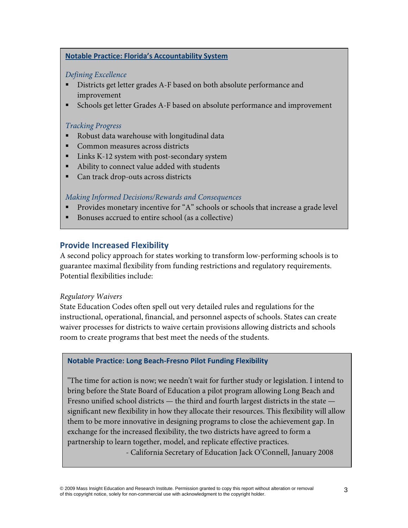#### **Notable Practice: Florida's Accountability System**

### *Defining Excellence*

- Districts get letter grades A-F based on both absolute performance and improvement
- Schools get letter Grades A-F based on absolute performance and improvement

#### *Tracking Progress*

- Robust data warehouse with longitudinal data
- Common measures across districts
- Links K-12 system with post-secondary system
- Ability to connect value added with students
- Can track drop-outs across districts

### *Making Informed Decisions/Rewards and Consequences*

- **Provides monetary incentive for "A" schools or schools that increase a grade level**
- Bonuses accrued to entire school (as a collective)

# **Provide Increased Flexibility**

A second policy approach for states working to transform low-performing schools is to guarantee maximal flexibility from funding restrictions and regulatory requirements. Potential flexibilities include:

#### *Regulatory Waivers*

State Education Codes often spell out very detailed rules and regulations for the instructional, operational, financial, and personnel aspects of schools. States can create waiver processes for districts to waive certain provisions allowing districts and schools room to create programs that best meet the needs of the students.

#### **Notable Practice: Long Beach‐Fresno Pilot Funding Flexibility**

"The time for action is now; we needn't wait for further study or legislation. I intend to bring before the State Board of Education a pilot program allowing Long Beach and Fresno unified school districts — the third and fourth largest districts in the state significant new flexibility in how they allocate their resources. This flexibility will allow them to be more innovative in designing programs to close the achievement gap. In exchange for the increased flexibility, the two districts have agreed to form a partnership to learn together, model, and replicate effective practices.

- California Secretary of Education Jack O'Connell, January 2008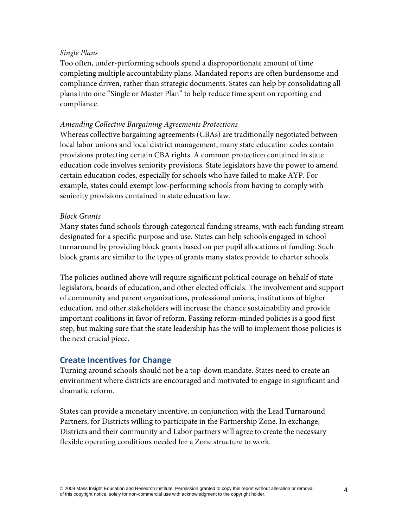### *Single Plans*

Too often, under-performing schools spend a disproportionate amount of time completing multiple accountability plans. Mandated reports are often burdensome and compliance driven, rather than strategic documents. States can help by consolidating all plans into one "Single or Master Plan" to help reduce time spent on reporting and compliance.

### *Amending Collective Bargaining Agreements Protections*

Whereas collective bargaining agreements (CBAs) are traditionally negotiated between local labor unions and local district management, many state education codes contain provisions protecting certain CBA rights. A common protection contained in state education code involves seniority provisions. State legislators have the power to amend certain education codes, especially for schools who have failed to make AYP. For example, states could exempt low-performing schools from having to comply with seniority provisions contained in state education law.

### *Block Grants*

Many states fund schools through categorical funding streams, with each funding stream designated for a specific purpose and use. States can help schools engaged in school turnaround by providing block grants based on per pupil allocations of funding. Such block grants are similar to the types of grants many states provide to charter schools.

The policies outlined above will require significant political courage on behalf of state legislators, boards of education, and other elected officials. The involvement and support of community and parent organizations, professional unions, institutions of higher education, and other stakeholders will increase the chance sustainability and provide important coalitions in favor of reform. Passing reform-minded policies is a good first step, but making sure that the state leadership has the will to implement those policies is the next crucial piece.

# **Create Incentives for Change**

Turning around schools should not be a top-down mandate. States need to create an environment where districts are encouraged and motivated to engage in significant and dramatic reform.

States can provide a monetary incentive, in conjunction with the Lead Turnaround Partners, for Districts willing to participate in the Partnership Zone. In exchange, Districts and their community and Labor partners will agree to create the necessary flexible operating conditions needed for a Zone structure to work.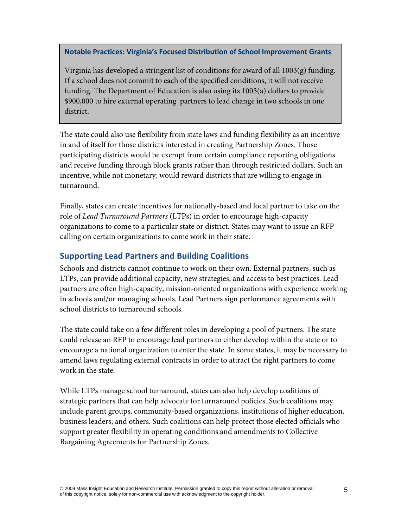**Notable Practices: Virginia's Focused Distribution of School Improvement Grants**

Virginia has developed a stringent list of conditions for award of all 1003(g) funding. If a school does not commit to each of the specified conditions, it will not receive funding. The Department of Education is also using its 1003(a) dollars to provide \$900,000 to hire external operating partners to lead change in two schools in one district.

The state could also use flexibility from state laws and funding flexibility as an incentive in and of itself for those districts interested in creating Partnership Zones. Those participating districts would be exempt from certain compliance reporting obligations and receive funding through block grants rather than through restricted dollars. Such an incentive, while not monetary, would reward districts that are willing to engage in turnaround.

Finally, states can create incentives for nationally-based and local partner to take on the role of *Lead Turnaround Partners* (LTPs) in order to encourage high-capacity organizations to come to a particular state or district. States may want to issue an RFP calling on certain organizations to come work in their state.

# **Supporting Lead Partners and Building Coalitions**

Schools and districts cannot continue to work on their own. External partners, such as LTPs, can provide additional capacity, new strategies, and access to best practices. Lead partners are often high-capacity, mission-oriented organizations with experience working in schools and/or managing schools. Lead Partners sign performance agreements with school districts to turnaround schools.

The state could take on a few different roles in developing a pool of partners. The state could release an RFP to encourage lead partners to either develop within the state or to encourage a national organization to enter the state. In some states, it may be necessary to amend laws regulating external contracts in order to attract the right partners to come work in the state.

While LTPs manage school turnaround, states can also help develop coalitions of strategic partners that can help advocate for turnaround policies. Such coalitions may include parent groups, community-based organizations, institutions of higher education, business leaders, and others. Such coalitions can help protect those elected officials who support greater flexibility in operating conditions and amendments to Collective Bargaining Agreements for Partnership Zones.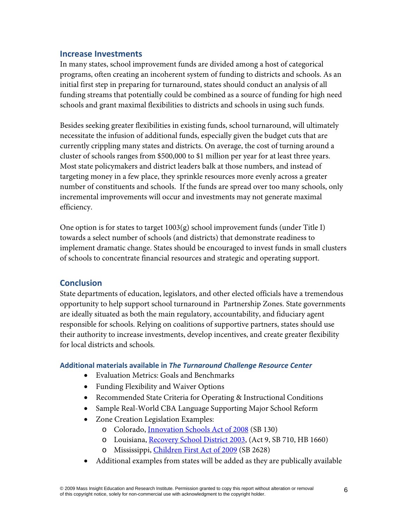# **Increase Investments**

In many states, school improvement funds are divided among a host of categorical programs, often creating an incoherent system of funding to districts and schools. As an initial first step in preparing for turnaround, states should conduct an analysis of all funding streams that potentially could be combined as a source of funding for high need schools and grant maximal flexibilities to districts and schools in using such funds.

Besides seeking greater flexibilities in existing funds, school turnaround, will ultimately necessitate the infusion of additional funds, especially given the budget cuts that are currently crippling many states and districts. On average, the cost of turning around a cluster of schools ranges from \$500,000 to \$1 million per year for at least three years. Most state policymakers and district leaders balk at those numbers, and instead of targeting money in a few place, they sprinkle resources more evenly across a greater number of constituents and schools. If the funds are spread over too many schools, only incremental improvements will occur and investments may not generate maximal efficiency.

One option is for states to target 1003(g) school improvement funds (under Title I) towards a select number of schools (and districts) that demonstrate readiness to implement dramatic change. States should be encouraged to invest funds in small clusters of schools to concentrate financial resources and strategic and operating support.

# **Conclusion**

State departments of education, legislators, and other elected officials have a tremendous opportunity to help support school turnaround in Partnership Zones. State governments are ideally situated as both the main regulatory, accountability, and fiduciary agent responsible for schools. Relying on coalitions of supportive partners, states should use their authority to increase investments, develop incentives, and create greater flexibility for local districts and schools.

#### **Additional materials available in** *The Turnaround Challenge Resource Center*

- Evaluation Metrics: Goals and Benchmarks
- Funding Flexibility and Waiver Options
- Recommended State Criteria for Operating & Instructional Conditions
- Sample Real-World CBA Language Supporting Major School Reform
- Zone Creation Legislation Examples:
	- o Colorado, [Innovation Schools Act of 2008](http://www.cde.state.co.us/cdegen/SB130.htm) (SB 130)
	- o Louisiana, [Recovery School District 2003,](http://www.legis.state.la.us/leg_docs/03RS/CVT3/OUT/0000KFH9.PDF) (Act 9, SB 710, HB 1660)
	- Mississippi, [Children First Act of 2009](http://billstatus.ls.state.ms.us/2009/pdf/history/SB/SB2628.xml) (SB 2628)
- Additional examples from states will be added as they are publically available